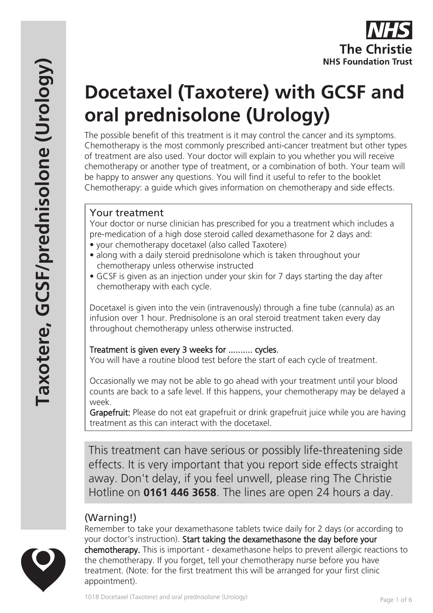

# **Docetaxel (Taxotere) with GCSF and oral prednisolone (Urology)**

The possible benefit of this treatment is it may control the cancer and its symptoms. Chemotherapy is the most commonly prescribed anti-cancer treatment but other types of treatment are also used. Your doctor will explain to you whether you will receive chemotherapy or another type of treatment, or a combination of both. Your team will be happy to answer any questions. You will find it useful to refer to the booklet Chemotherapy: a guide which gives information on chemotherapy and side effects.

## Your treatment

Your doctor or nurse clinician has prescribed for you a treatment which includes a pre-medication of a high dose steroid called dexamethasone for 2 days and:

- your chemotherapy docetaxel (also called Taxotere)
- along with a daily steroid prednisolone which is taken throughout your chemotherapy unless otherwise instructed
- GCSF is given as an injection under your skin for 7 days starting the day after chemotherapy with each cycle.

Docetaxel is given into the vein (intravenously) through a fine tube (cannula) as an infusion over 1 hour. Prednisolone is an oral steroid treatment taken every day throughout chemotherapy unless otherwise instructed.

## Treatment is given every 3 weeks for .......... cycles.

You will have a routine blood test before the start of each cycle of treatment.

Occasionally we may not be able to go ahead with your treatment until your blood counts are back to a safe level. If this happens, your chemotherapy may be delayed a week.

Grapefruit: Please do not eat grapefruit or drink grapefruit juice while you are having treatment as this can interact with the docetaxel.

This treatment can have serious or possibly life-threatening side effects. It is very important that you report side effects straight away. Don't delay, if you feel unwell, please ring The Christie Hotline on **0161 446 3658**. The lines are open 24 hours a day.

# (Warning!)



Remember to take your dexamethasone tablets twice daily for 2 days (or according to your doctor's instruction). Start taking the dexamethasone the day before your chemotherapy. This is important - dexamethasone helps to prevent allergic reactions to the chemotherapy. If you forget, tell your chemotherapy nurse before you have treatment. (Note: for the first treatment this will be arranged for your first clinic appointment).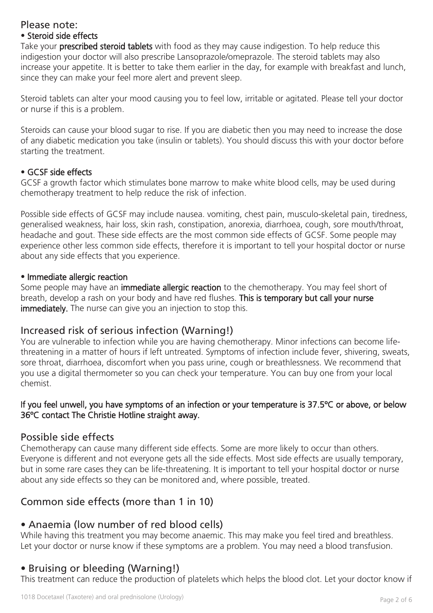## Please note:

## • Steroid side effects

Take your **prescribed steroid tablets** with food as they may cause indigestion. To help reduce this indigestion your doctor will also prescribe Lansoprazole/omeprazole. The steroid tablets may also increase your appetite. It is better to take them earlier in the day, for example with breakfast and lunch, since they can make your feel more alert and prevent sleep.

Steroid tablets can alter your mood causing you to feel low, irritable or agitated. Please tell your doctor or nurse if this is a problem.

Steroids can cause your blood sugar to rise. If you are diabetic then you may need to increase the dose of any diabetic medication you take (insulin or tablets). You should discuss this with your doctor before starting the treatment.

#### • GCSF side effects

GCSF a growth factor which stimulates bone marrow to make white blood cells, may be used during chemotherapy treatment to help reduce the risk of infection.

Possible side effects of GCSF may include nausea. vomiting, chest pain, musculo-skeletal pain, tiredness, generalised weakness, hair loss, skin rash, constipation, anorexia, diarrhoea, cough, sore mouth/throat, headache and gout. These side effects are the most common side effects of GCSF. Some people may experience other less common side effects, therefore it is important to tell your hospital doctor or nurse about any side effects that you experience.

#### • Immediate allergic reaction

Some people may have an **immediate allergic reaction** to the chemotherapy. You may feel short of breath, develop a rash on your body and have red flushes. This is temporary but call your nurse immediately. The nurse can give you an injection to stop this.

## Increased risk of serious infection (Warning!)

You are vulnerable to infection while you are having chemotherapy. Minor infections can become lifethreatening in a matter of hours if left untreated. Symptoms of infection include fever, shivering, sweats, sore throat, diarrhoea, discomfort when you pass urine, cough or breathlessness. We recommend that you use a digital thermometer so you can check your temperature. You can buy one from your local chemist.

#### If you feel unwell, you have symptoms of an infection or your temperature is 37.5ºC or above, or below 36ºC contact The Christie Hotline straight away.

## Possible side effects

Chemotherapy can cause many different side effects. Some are more likely to occur than others. Everyone is different and not everyone gets all the side effects. Most side effects are usually temporary, but in some rare cases they can be life-threatening. It is important to tell your hospital doctor or nurse about any side effects so they can be monitored and, where possible, treated.

# Common side effects (more than 1 in 10)

## • Anaemia (low number of red blood cells)

While having this treatment you may become anaemic. This may make you feel tired and breathless. Let your doctor or nurse know if these symptoms are a problem. You may need a blood transfusion.

# • Bruising or bleeding (Warning!)

This treatment can reduce the production of platelets which helps the blood clot. Let your doctor know if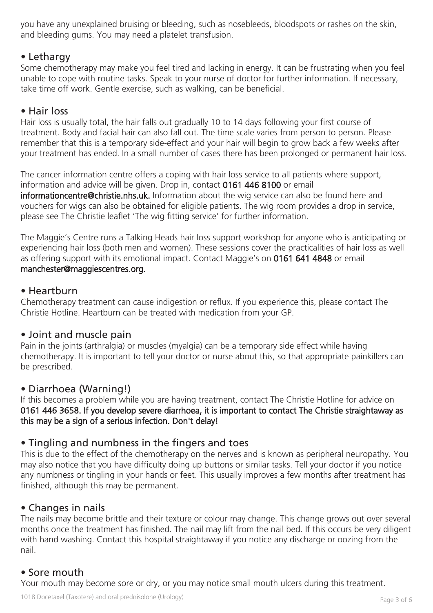you have any unexplained bruising or bleeding, such as nosebleeds, bloodspots or rashes on the skin, and bleeding gums. You may need a platelet transfusion.

## • Lethargy

Some chemotherapy may make you feel tired and lacking in energy. It can be frustrating when you feel unable to cope with routine tasks. Speak to your nurse of doctor for further information. If necessary, take time off work. Gentle exercise, such as walking, can be beneficial.

## • Hair loss

Hair loss is usually total, the hair falls out gradually 10 to 14 days following your first course of treatment. Body and facial hair can also fall out. The time scale varies from person to person. Please remember that this is a temporary side-effect and your hair will begin to grow back a few weeks after your treatment has ended. In a small number of cases there has been prolonged or permanent hair loss.

The cancer information centre offers a coping with hair loss service to all patients where support, information and advice will be given. Drop in, contact 0161 446 8100 or email informationcentre@christie.nhs.uk. Information about the wig service can also be found here and vouchers for wigs can also be obtained for eligible patients. The wig room provides a drop in service, please see The Christie leaflet 'The wig fitting service' for further information.

The Maggie's Centre runs a Talking Heads hair loss support workshop for anyone who is anticipating or experiencing hair loss (both men and women). These sessions cover the practicalities of hair loss as well as offering support with its emotional impact. Contact Maggie's on 0161 641 4848 or email manchester@maggiescentres.org.

## • Heartburn

Chemotherapy treatment can cause indigestion or reflux. If you experience this, please contact The Christie Hotline. Heartburn can be treated with medication from your GP.

## • Joint and muscle pain

Pain in the joints (arthralgia) or muscles (myalgia) can be a temporary side effect while having chemotherapy. It is important to tell your doctor or nurse about this, so that appropriate painkillers can be prescribed.

## • Diarrhoea (Warning!)

If this becomes a problem while you are having treatment, contact The Christie Hotline for advice on 0161 446 3658. If you develop severe diarrhoea, it is important to contact The Christie straightaway as this may be a sign of a serious infection. Don't delay!

## • Tingling and numbness in the fingers and toes

This is due to the effect of the chemotherapy on the nerves and is known as peripheral neuropathy. You may also notice that you have difficulty doing up buttons or similar tasks. Tell your doctor if you notice any numbness or tingling in your hands or feet. This usually improves a few months after treatment has finished, although this may be permanent.

## • Changes in nails

The nails may become brittle and their texture or colour may change. This change grows out over several months once the treatment has finished. The nail may lift from the nail bed. If this occurs be very diligent with hand washing. Contact this hospital straightaway if you notice any discharge or oozing from the nail.

## • Sore mouth

Your mouth may become sore or dry, or you may notice small mouth ulcers during this treatment.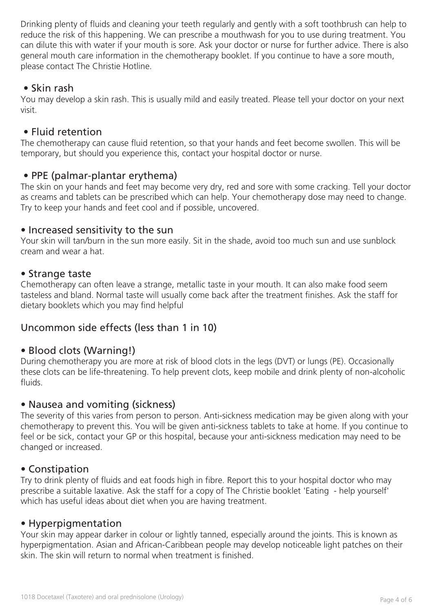Drinking plenty of fluids and cleaning your teeth regularly and gently with a soft toothbrush can help to reduce the risk of this happening. We can prescribe a mouthwash for you to use during treatment. You can dilute this with water if your mouth is sore. Ask your doctor or nurse for further advice. There is also general mouth care information in the chemotherapy booklet. If you continue to have a sore mouth, please contact The Christie Hotline.

## • Skin rash

You may develop a skin rash. This is usually mild and easily treated. Please tell your doctor on your next visit.

## • Fluid retention

The chemotherapy can cause fluid retention, so that your hands and feet become swollen. This will be temporary, but should you experience this, contact your hospital doctor or nurse.

## • PPE (palmar-plantar erythema)

The skin on your hands and feet may become very dry, red and sore with some cracking. Tell your doctor as creams and tablets can be prescribed which can help. Your chemotherapy dose may need to change. Try to keep your hands and feet cool and if possible, uncovered.

## • Increased sensitivity to the sun

Your skin will tan/burn in the sun more easily. Sit in the shade, avoid too much sun and use sunblock cream and wear a hat.

## • Strange taste

Chemotherapy can often leave a strange, metallic taste in your mouth. It can also make food seem tasteless and bland. Normal taste will usually come back after the treatment finishes. Ask the staff for dietary booklets which you may find helpful

## Uncommon side effects (less than 1 in 10)

## • Blood clots (Warning!)

During chemotherapy you are more at risk of blood clots in the legs (DVT) or lungs (PE). Occasionally these clots can be life-threatening. To help prevent clots, keep mobile and drink plenty of non-alcoholic fluids.

## • Nausea and vomiting (sickness)

The severity of this varies from person to person. Anti-sickness medication may be given along with your chemotherapy to prevent this. You will be given anti-sickness tablets to take at home. If you continue to feel or be sick, contact your GP or this hospital, because your anti-sickness medication may need to be changed or increased.

## • Constipation

Try to drink plenty of fluids and eat foods high in fibre. Report this to your hospital doctor who may prescribe a suitable laxative. Ask the staff for a copy of The Christie booklet 'Eating - help yourself' which has useful ideas about diet when you are having treatment.

## • Hyperpigmentation

Your skin may appear darker in colour or lightly tanned, especially around the joints. This is known as hyperpigmentation. Asian and African-Caribbean people may develop noticeable light patches on their skin. The skin will return to normal when treatment is finished.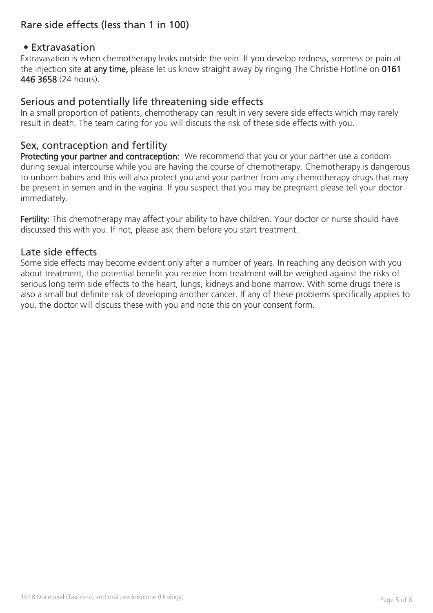# Rare side effects (less than 1 in 100)

#### • Extravasation

Extravasation is when chemotherapy leaks outside the vein. If you develop redness, soreness or pain at the injection site at any time, please let us know straight away by ringing The Christie Hotline on 0161 446 3658 (24 hours).

#### Serious and potentially life threatening side effects

In a small proportion of patients, chemotherapy can result in very severe side effects which may rarely result in death. The team caring for you will discuss the risk of these side effects with you.

#### Sex, contraception and fertility

Protecting your partner and contraception: We recommend that you or your partner use a condom during sexual intercourse while you are having the course of chemotherapy. Chemotherapy is dangerous to unborn babies and this will also protect you and your partner from any chemotherapy drugs that may be present in semen and in the vagina. If you suspect that you may be pregnant please tell your doctor immediately.

Fertility: This chemotherapy may affect your ability to have children. Your doctor or nurse should have discussed this with you. If not, please ask them before you start treatment.

#### Late side effects

Some side effects may become evident only after a number of years. In reaching any decision with you about treatment, the potential benefit you receive from treatment will be weighed against the risks of serious long term side effects to the heart, lungs, kidneys and bone marrow. With some drugs there is also a small but definite risk of developing another cancer. If any of these problems specifically applies to you, the doctor will discuss these with you and note this on your consent form.